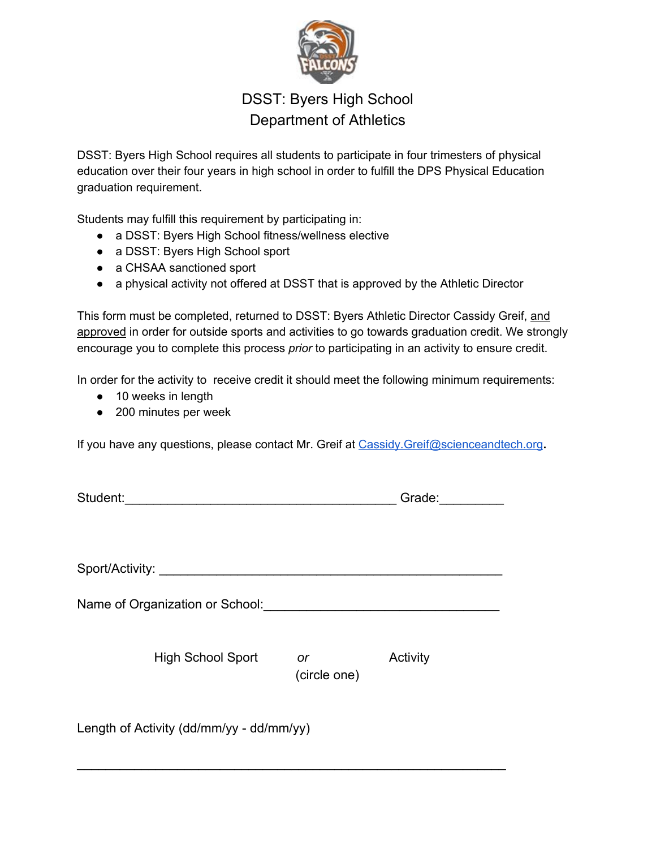

## DSST: Byers High School Department of Athletics

DSST: Byers High School requires all students to participate in four trimesters of physical education over their four years in high school in order to fulfill the DPS Physical Education graduation requirement.

Students may fulfill this requirement by participating in:

- a DSST: Byers High School fitness/wellness elective
- a DSST: Byers High School sport
- a CHSAA sanctioned sport
- a physical activity not offered at DSST that is approved by the Athletic Director

This form must be completed, returned to DSST: Byers Athletic Director Cassidy Greif, and approved in order for outside sports and activities to go towards graduation credit. We strongly encourage you to complete this process *prior* to participating in an activity to ensure credit.

In order for the activity to receive credit it should meet the following minimum requirements:

- 10 weeks in length
- 200 minutes per week

If you have any questions, please contact Mr. Greif at [Cassidy.Greif@scienceandtech.org](mailto:Cassidy.Greif@scienceandtech.org)**.**

| Student:                                 |              | Grade:   |  |  |  |
|------------------------------------------|--------------|----------|--|--|--|
|                                          |              |          |  |  |  |
| Sport/Activity:                          |              |          |  |  |  |
|                                          |              |          |  |  |  |
| Name of Organization or School:          |              |          |  |  |  |
|                                          |              |          |  |  |  |
| <b>High School Sport</b>                 | or           | Activity |  |  |  |
|                                          | (circle one) |          |  |  |  |
|                                          |              |          |  |  |  |
| Length of Activity (dd/mm/yy - dd/mm/yy) |              |          |  |  |  |

 $\mathcal{L}_\text{max}$  , and the contract of the contract of the contract of the contract of the contract of the contract of the contract of the contract of the contract of the contract of the contract of the contract of the contr